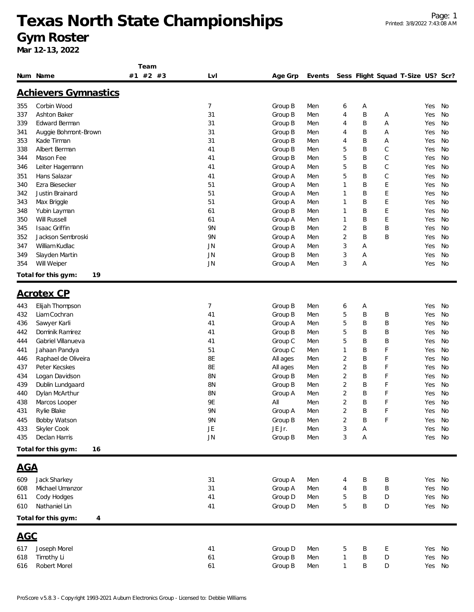**Team**

|            | Num Name                    | #2 #3<br>#1 | Lvl            | Age Grp  | Events |                |   | Sess Flight Squad T-Size US? Scr? |        |           |
|------------|-----------------------------|-------------|----------------|----------|--------|----------------|---|-----------------------------------|--------|-----------|
|            | <b>Achievers Gymnastics</b> |             |                |          |        |                |   |                                   |        |           |
| 355        | Corbin Wood                 |             | $\overline{7}$ | Group B  | Men    | 6              | Α |                                   | Yes    | No        |
| 337        | Ashton Baker                |             | 31             | Group B  | Men    | $\overline{4}$ | B | А                                 | Yes    | No        |
| 339        | Edward Berman               |             | 31             | Group B  | Men    | 4              | Β | Α                                 | Yes    | <b>No</b> |
| 341        | Auggie Bohmont-Brown        |             | 31             | Group B  | Men    | 4              | Β | Α                                 | Yes    | <b>No</b> |
| 353        | Kade Tirman                 |             | 31             | Group B  | Men    | 4              | Β | Α                                 | Yes    | No        |
| 338        | Albert Berman               |             | 41             | Group B  | Men    | 5              | B | C                                 | Yes    | No        |
| 344        | Mason Fee                   |             | 41             | Group B  | Men    | 5              | Β | $\mathsf C$                       | Yes    | No        |
| 346        | Leiter Hagemann             |             | 41             | Group A  | Men    | 5              | B | $\mathsf C$                       | Yes    | <b>No</b> |
| 351        | Hans Salazar                |             | 41             | Group A  | Men    | 5              | Β | $\mathsf C$                       | Yes    | No        |
| 340        | Ezra Biesecker              |             | 51             | Group A  | Men    | 1              | Β | E                                 | Yes    | No        |
| 342        | Justin Brainard             |             | 51             | Group A  | Men    | 1              | B | E                                 | Yes    | No        |
| 343        | Max Briggle                 |             | 51             | Group A  | Men    | 1              | B | E                                 | Yes    | No        |
| 348        | Yubin Layman                |             | 61             | Group B  | Men    | 1              | Β | E                                 | Yes    | No        |
| 350        | <b>Will Russell</b>         |             | 61             | Group A  | Men    | 1              | Β | E                                 | Yes    | No        |
| 345        | Isaac Griffin               |             | 9N             | Group B  | Men    | 2              | B | B                                 | Yes    | No        |
| 352        | Jackson Sembroski           |             | 9N             | Group A  | Men    | $\overline{2}$ | B | B                                 | Yes    | No        |
| 347        | William Kudlac              |             | <b>JN</b>      | Group A  | Men    | 3              | Α |                                   | Yes    | No        |
| 349        | Slayden Martin              |             | JN             | Group B  | Men    | 3              | Α |                                   | Yes    | <b>No</b> |
| 354        | Will Weiper                 |             | JN             | Group A  | Men    | 3              | Α |                                   | Yes    | No        |
|            | Total for this gym:<br>19   |             |                |          |        |                |   |                                   |        |           |
|            | <b>Acrotex CP</b>           |             |                |          |        |                |   |                                   |        |           |
|            |                             |             |                |          |        |                |   |                                   |        |           |
| 443        | Elijah Thompson             |             | 7              | Group B  | Men    | 6              | Α |                                   | Yes    | No        |
| 432        | Liam Cochran                |             | 41             | Group B  | Men    | 5              | B | B                                 | Yes    | No        |
| 436        | Sawyer Karli                |             | 41             | Group A  | Men    | 5              | B | B                                 | Yes    | No        |
| 442        | Dominik Ramirez             |             | 41             | Group B  | Men    | 5              | B | Β                                 | Yes    | No        |
| 444        | Gabriel Villanueva          |             | 41             | Group C  | Men    | 5              | B | B                                 | Yes    | No        |
| 441        | Jahaan Pandya               |             | 51             | Group C  | Men    | 1              | B | F                                 | Yes    | <b>No</b> |
| 446        | Raphael de Oliveira         |             | 8E             | All ages | Men    | $\overline{2}$ | Β | F                                 | Yes    | No        |
| 437        | Peter Kecskes               |             | 8E             | All ages | Men    | $\overline{2}$ | Β | F                                 | Yes    | No        |
| 434        | Logan Davidson              |             | <b>8N</b>      | Group B  | Men    | $\overline{2}$ | Β | F                                 | Yes    | No        |
| 439        | Dublin Lundgaard            |             | <b>8N</b>      | Group B  | Men    | $\overline{2}$ | Β | F                                 | Yes    | No        |
| 440        | Dylan McArthur              |             | <b>8N</b>      | Group A  | Men    | $\overline{2}$ | Β | F                                 | Yes    | No        |
| 438        | Marcos Looper               |             | 9Ε             | All      | Men    | $\overline{2}$ | B | F                                 | Yes    | No        |
| 431        | Rylie Blake                 |             | 9N             | Group A  | Men    | $\overline{2}$ | B | F                                 | Yes    | No        |
| 445        | Bobby Watson                |             | 9N             | Group B  | Men    | $\sqrt{2}$     | B | F                                 | Yes No |           |
| 433        | Skyler Cook                 |             | JE             | JE Jr.   | Men    | 3              | Α |                                   | Yes No |           |
| 435        | Declan Harris               |             | <b>JN</b>      | Group B  | Men    | 3              | Α |                                   | Yes No |           |
|            | Total for this gym:<br>16   |             |                |          |        |                |   |                                   |        |           |
| <u>AGA</u> |                             |             |                |          |        |                |   |                                   |        |           |
| 609        | Jack Sharkey                |             | 31             | Group A  | Men    | 4              | Β | Β                                 | Yes    | No        |
| 608        | Michael Umanzor             |             | 31             | Group A  | Men    | 4              | Β | B                                 | Yes    | No        |
| 611        | Cody Hodges                 |             | 41             | Group D  | Men    | 5              | Β | D                                 | Yes    | No        |
| 610        | Nathaniel Lin               |             | 41             | Group D  | Men    | 5              | Β | D                                 | Yes    | No        |
|            | Total for this gym:<br>4    |             |                |          |        |                |   |                                   |        |           |
| <b>AGC</b> |                             |             |                |          |        |                |   |                                   |        |           |
| 617        | Joseph Morel                |             | 41             | Group D  | Men    | 5              | Β |                                   | Yes No |           |
| 618        | Timothy Li                  |             | 61             | Group B  | Men    | 1              | Β | E<br>D                            | Yes    | No        |
| 616        | Robert Morel                |             | 61             | Group B  | Men    | $\mathbf{1}$   | Β | D                                 | Yes No |           |
|            |                             |             |                |          |        |                |   |                                   |        |           |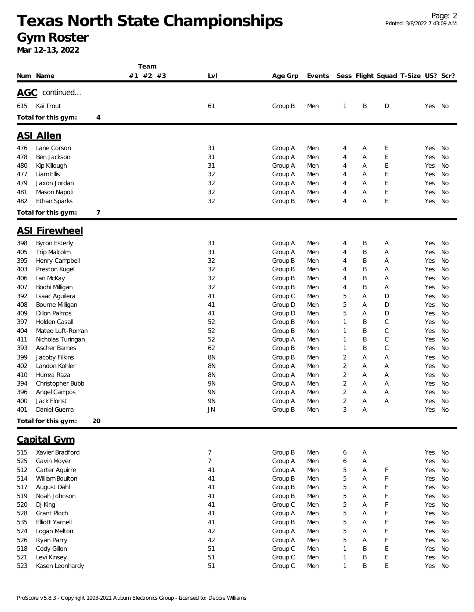|            |                                       | Team     |                |                    |            |                |        |                                   |            |           |
|------------|---------------------------------------|----------|----------------|--------------------|------------|----------------|--------|-----------------------------------|------------|-----------|
|            | Num Name                              | #1 #2 #3 | LvI            | Age Grp            | Events     |                |        | Sess Flight Squad T-Size US? Scr? |            |           |
|            | AGC continued                         |          |                |                    |            |                |        |                                   |            |           |
| 615        | Kai Trout                             |          | 61             | Group B            | Men        | 1              | B      | D                                 | Yes No     |           |
|            |                                       |          |                |                    |            |                |        |                                   |            |           |
|            | Total for this gym:<br>4              |          |                |                    |            |                |        |                                   |            |           |
|            | <b>ASI Allen</b>                      |          |                |                    |            |                |        |                                   |            |           |
| 476        | Lane Corson                           |          | 31             | Group A            | Men        | 4              | Α      | Ε                                 | Yes        | No        |
| 478        | Ben Jackson                           |          | 31             | Group A            | Men        | 4              | Α      | E                                 | Yes        | No        |
| 480        | Kip Killough                          |          | 31             | Group A            | Men        | 4              | Α      | E                                 | Yes        | No        |
| 477        | Liam Ellis                            |          | 32             | Group A            | Men        | 4              | Α      | E                                 | Yes        | No        |
| 479        | Jaxon Jordan                          |          | 32             | Group A            | Men        | 4              | Α      | E                                 | Yes        | No        |
| 481        | Mason Napoli                          |          | 32             | Group A            | Men        | 4              | Α      | E                                 | Yes        | No        |
| 482        | Ethan Sparks                          |          | 32             | Group B            | Men        | 4              | Α      | E                                 | Yes        | No        |
|            | 7<br>Total for this gym:              |          |                |                    |            |                |        |                                   |            |           |
|            | <b>ASI Firewheel</b>                  |          |                |                    |            |                |        |                                   |            |           |
| 398        | <b>Byron Esterly</b>                  |          | 31             | Group A            | Men        | 4              | B      | Α                                 | Yes        | No        |
| 405        | Trip Malcolm                          |          | 31             | Group A            | Men        | 4              | Β      | Α                                 | Yes        | No        |
| 395        | Henry Campbell                        |          | 32             | Group B            | Men        | 4              | Β      | Α                                 | Yes        | No        |
| 403        | Preston Kugel                         |          | 32             | Group B            | Men        | 4              | Β      | Α                                 | Yes        | No        |
| 406        | lan McKay                             |          | 32             | Group B            | Men        | 4              | Β      | Α                                 | Yes        | No        |
| 407        | Bodhi Milligan                        |          | 32             | Group B            | Men        | 4              | Β      | А                                 | Yes        | No        |
| 392        | Isaac Aguilera                        |          | 41             | Group C            | Men        | 5              | Α      | D                                 | Yes        | No        |
| 408        | Bourne Milligan                       |          | 41             | Group D            | Men        | 5              | Α      | D                                 | Yes        | No        |
| 409        | Dillon Palmos                         |          | 41             | Group D            | Men        | 5              | Α      | D                                 | Yes        | No        |
| 397        | Holden Casall                         |          | 52             | Group B            | Men        | 1              | Β      | С                                 | Yes        | No        |
| 404        | Mateo Luft-Roman                      |          | 52             | Group B            | Men        | 1              | B      | С                                 | Yes        | No        |
| 411        | Nicholas Turingan                     |          | 52             | Group A            | Men        | 1              | B      | С                                 | Yes        | No        |
| 393        | Ascher Barnes                         |          | 62             | Group B            | Men        | 1              | B      | $\mathsf C$                       | Yes        | No        |
| 399        | Jacoby Filkins                        |          | 8N             | Group B            | Men        | 2              | Α      | Α                                 | Yes        | No        |
| 402        | Landon Kohler                         |          | 8N             | Group A            | Men        | $\overline{2}$ | Α      | Α                                 | Yes        | No        |
| 410        | Humza Raza                            |          | 8N             | Group A            | Men        | $\overline{2}$ | Α      | Α                                 | Yes        | No        |
| 394        | Christopher Bubb                      |          | 9N             | Group A            | Men        | $\overline{2}$ | Α      | Α                                 | Yes        | No        |
| 396        | Angel Campos                          |          | 9N             | Group A            | Men        | $\overline{2}$ | Α      | А                                 | Yes        | No        |
| 400        | Jack Florist                          |          | 9N             | Group A            | Men        | $\overline{2}$ | Α      | Α                                 | Yes        | No        |
| 401        | Daniel Guerra                         |          | JN             | Group B            | Men        | 3              | Α      |                                   | Yes        | No        |
|            | Total for this gym:<br>20             |          |                |                    |            |                |        |                                   |            |           |
|            | <b>Capital Gym</b>                    |          |                |                    |            |                |        |                                   |            |           |
| 515        | Xavier Bradford                       |          | $\overline{7}$ | Group B            | Men        | 6              | Α      |                                   | Yes        | <b>No</b> |
| 525        | Gavin Moyer                           |          | $\overline{7}$ | Group A            | Men        | 6              | Α      |                                   | Yes        | No        |
| 512        | Carter Aguirre                        |          | 41             | Group A            | Men        | 5              | Α      | F                                 | Yes        | No        |
| 514        | William Boulton                       |          | 41             | Group B            | Men        | 5              | A      | F                                 | Yes        | No        |
| 517        | August Dahl                           |          | 41             | Group B            | Men        | 5              | A      | F                                 | Yes        | <b>No</b> |
| 519        | Noah Johnson                          |          | 41             | Group B            | Men        | 5              | A      | F                                 | Yes        | No        |
| 520        | Dj King                               |          | 41             | Group C            | Men        | 5              | Α      | F                                 | Yes        | <b>No</b> |
| 528<br>535 | Grant Ploch<br><b>Elliott Yarnell</b> |          | 41<br>41       | Group A            | Men        | 5<br>5         | Α<br>Α | F<br>F                            | Yes<br>Yes | No<br>No  |
|            |                                       |          | 42             | Group B<br>Group A | Men        | 5              |        | F                                 |            | No        |
| 524<br>526 | Logan Melton<br>Ryan Parry            |          | 42             | Group A            | Men<br>Men | 5              | Α<br>Α | F                                 | Yes<br>Yes | No        |
| 518        | Cody Gillon                           |          | 51             | Group C            | Men        | 1              | Β      | E                                 | Yes        | No        |
| 521        | Levi Kinsey                           |          | 51             | Group C            | Men        | 1              | B      | E                                 | Yes        | No        |
| 523        | Kasen Leonhardy                       |          | 51             | Group C            | Men        | 1              | B      | Е                                 | Yes        | No        |
|            |                                       |          |                |                    |            |                |        |                                   |            |           |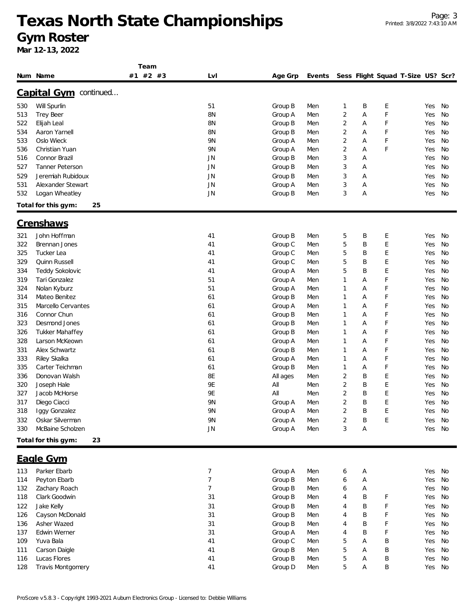|            |                                 | Team     |                 |                    |            |                                  |        |        |                                   |            |          |
|------------|---------------------------------|----------|-----------------|--------------------|------------|----------------------------------|--------|--------|-----------------------------------|------------|----------|
|            | Num Name                        | #1 #2 #3 | LvI             | Age Grp            | Events     |                                  |        |        | Sess Flight Squad T-Size US? Scr? |            |          |
|            | <u>Capital Gym</u><br>continued |          |                 |                    |            |                                  |        |        |                                   |            |          |
|            |                                 |          |                 |                    |            |                                  |        |        |                                   |            |          |
| 530        | Will Spurlin                    |          | 51              | Group B            | Men        | $\mathbf{1}$                     | B      | E      |                                   | Yes        | No       |
| 513        | Trey Beer                       |          | 8N              | Group A            | Men        | $\overline{2}$                   | Α      | F      |                                   | Yes        | No       |
| 522        | Elijah Leal<br>Aaron Yarnell    |          | <b>8N</b><br>8N | Group B            | Men        | $\overline{2}$<br>$\overline{2}$ | Α<br>Α | F<br>F |                                   | Yes        | No<br>No |
| 534        | Oslo Wieck                      |          | 9N              | Group B            | Men        | $\overline{2}$                   |        | F      |                                   | Yes<br>Yes | No       |
| 533        |                                 |          |                 | Group A            | Men        |                                  | Α      | F      |                                   |            |          |
| 536        | Christian Yuan                  |          | 9N              | Group A            | Men        | $\overline{2}$                   | Α      |        |                                   | Yes        | No       |
| 516        | Connor Brazil                   |          | <b>JN</b>       | Group B            | Men        | 3                                | Α      |        |                                   | Yes        | No       |
| 527        | <b>Tanner Peterson</b>          |          | JN              | Group B            | Men        | 3                                | Α      |        |                                   | Yes        | No       |
| 529        | Jeremiah Rubidoux               |          | JN              | Group B            | Men        | 3                                | Α      |        |                                   | Yes        | No       |
| 531        | Alexander Stewart               |          | JN              | Group A            | Men        | 3                                | Α      |        |                                   | Yes        | No       |
| 532        | Logan Wheatley                  |          | JN              | Group B            | Men        | 3                                | Α      |        |                                   | Yes        | No       |
|            | 25<br>Total for this gym:       |          |                 |                    |            |                                  |        |        |                                   |            |          |
|            | <b>Crenshaws</b>                |          |                 |                    |            |                                  |        |        |                                   |            |          |
| 321        | John Hoffman                    |          | 41              | Group B            | Men        | 5                                | Β      | E      |                                   | Yes        | No       |
| 322        | Brennan Jones                   |          | 41              | Group C            | Men        | 5                                | B      | E      |                                   | Yes        | No       |
| 325        | Tucker Lea                      |          | 41              | Group C            | Men        | 5                                | B      | E      |                                   | Yes        | No       |
| 329        | Quinn Russell                   |          | 41              | Group C            | Men        | 5                                | B      | E      |                                   | Yes        | No       |
| 334        | Teddy Sokolovic                 |          | 41              | Group A            | Men        | 5                                | B      | E      |                                   | Yes        | No       |
| 319        | Tari Gonzalez                   |          | 51              | Group A            | Men        | $\mathbf{1}$                     | Α      | F      |                                   | Yes        | No       |
| 324        | Nolan Kyburz                    |          | 51              | Group A            | Men        | $\mathbf 1$                      | Α      | F      |                                   | Yes        | No       |
| 314        | Mateo Benitez                   |          | 61              | Group B            | Men        | $\mathbf{1}$                     | Α      | F      |                                   | Yes        | No       |
| 315        | Marcello Cervantes              |          | 61              | Group A            | Men        | $\mathbf{1}$                     | Α      | F      |                                   | Yes        | No       |
| 316        | Connor Chun                     |          | 61              | Group B            | Men        | $\mathbf{1}$                     | Α      | F      |                                   | Yes        | No       |
| 323        | Desmond Jones                   |          | 61              | Group B            | Men        | $\mathbf{1}$                     | Α      | F      |                                   | Yes        | No       |
| 326        | <b>Tukker Mahaffey</b>          |          | 61              | Group B            | Men        | $\mathbf{1}$                     | Α      | F      |                                   | Yes        | No       |
|            |                                 |          |                 |                    |            |                                  |        |        |                                   |            |          |
| 328        | Larson McKeown                  |          | 61              | Group A            | Men        | $\mathbf{1}$<br>$\mathbf{1}$     | А      | F<br>F |                                   | Yes        | No       |
| 331        | Alex Schwartz                   |          | 61              | Group B            | Men        |                                  | Α      |        |                                   | Yes        | No       |
| 333        | Riley Skalka<br>Carter Teichman |          | 61              | Group A<br>Group B | Men        | 1                                | Α      | F<br>F |                                   | Yes        | No       |
| 335<br>336 | Donovan Walsh                   |          | 61<br>8E        |                    | Men        | $\mathbf{1}$                     | Α<br>B |        |                                   | Yes        | No       |
|            |                                 |          | 9E              | All ages<br>All    | Men        | 2<br>2                           | B      | Ε<br>E |                                   | Yes        | No       |
| 320<br>327 | Joseph Hale<br>Jacob McHorse    |          | 9Ε              | All                | Men<br>Men | $\overline{2}$                   | B      | E      |                                   | Yes<br>Yes | No<br>No |
|            |                                 |          | 9N              |                    |            | $\overline{2}$                   | B      | E      |                                   |            |          |
| 317        | Diego Ciacci                    |          |                 | Group A            | Men        |                                  |        |        |                                   | Yes        | No       |
| 318        | Iggy Gonzalez                   |          | 9N              | Group A            | Men        | $\overline{\mathbf{c}}$          | B      | E      |                                   | Yes No     |          |
| 332        | Oskar Silverman                 |          | 9N              | Group A            | Men        | $\overline{c}$                   | Β      | E      |                                   | Yes        | No       |
| 330        | McBaine Scholzen                |          | JN              | Group A            | Men        | 3                                | Α      |        |                                   | Yes        | No       |
|            | Total for this gym:<br>23       |          |                 |                    |            |                                  |        |        |                                   |            |          |
|            | Eagle Gym                       |          |                 |                    |            |                                  |        |        |                                   |            |          |
| 113        | Parker Ebarb                    |          | 7               | Group A            | Men        | 6                                | Α      |        |                                   | Yes        | No       |
| 114        | Peyton Ebarb                    |          | $\overline{7}$  | Group B            | Men        | 6                                | А      |        |                                   | Yes        | No       |
| 132        | Zachary Roach                   |          | 7               | Group B            | Men        | 6                                | A      |        |                                   | Yes        | No       |
| 118        | Clark Goodwin                   |          | 31              | Group B            | Men        | Δ                                | R      |        |                                   | Yes No     |          |

| 132 | Zachary Roach     |    | Group B | Men | ь | A |          | Yes        | No |
|-----|-------------------|----|---------|-----|---|---|----------|------------|----|
| 118 | Clark Goodwin     | 31 | Group B | Men | 4 | B | н.       | Yes        | No |
| 122 | Jake Kelly        | 31 | Group B | Men | 4 | B | <b>F</b> | Yes        | No |
| 126 | Cayson McDonald   | 31 | Group B | Men | 4 | B | <b>F</b> | Yes        | No |
| 136 | Asher Wazed       | 31 | Group B | Men | 4 | B | Е        | Yes        | No |
| 137 | Edwin Werner      | 31 | Group A | Men | 4 | B | <b>E</b> | <b>Yes</b> | No |
| 109 | Yuva Bala         | 41 | Group C | Men | 5 | A | B        | Yes        | No |
| 111 | Carson Daigle     | 41 | Group B | Men | b | A | B        | Yes        | No |
| 116 | Lucas Flores      | 41 | Group B | Men | 5 | A | B        | Yes        | No |
| 128 | Travis Montgomery | 41 | Group D | Men | b | A | B        | Yes        | No |
|     |                   |    |         |     |   |   |          |            |    |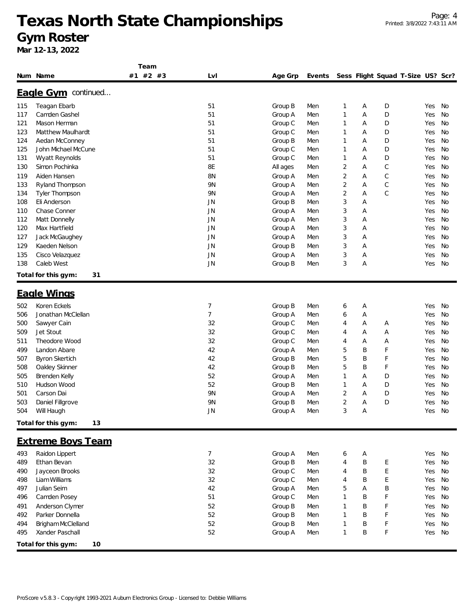**Team**

|     | Num Name                   | #2 #3<br>#1 | LvI       | Age Grp  | Events |   |   | Sess Flight Squad T-Size US? Scr? |     |    |
|-----|----------------------------|-------------|-----------|----------|--------|---|---|-----------------------------------|-----|----|
|     | <b>Eagle Gym</b> continued |             |           |          |        |   |   |                                   |     |    |
| 115 | Teagan Ebarb               |             | 51        | Group B  | Men    | 1 | Α | D                                 | Yes | No |
| 117 | Camden Gashel              |             | 51        | Group A  | Men    | 1 | Α | D                                 | Yes | No |
| 121 | Mason Herman               |             | 51        | Group C  | Men    | 1 | Α | D                                 | Yes | No |
| 123 | Matthew Maulhardt          |             | 51        | Group C  | Men    | 1 | A | D                                 | Yes | No |
| 124 | Aedan McConney             |             | 51        | Group B  | Men    | 1 | Α | D                                 | Yes | No |
| 125 | John Michael McCune        |             | 51        | Group C  | Men    | 1 | Α | D                                 | Yes | No |
| 131 | Wyatt Reynolds             |             | 51        | Group C  | Men    | 1 | Α | D                                 | Yes | No |
| 130 | Simon Pochinka             |             | 8E        | All ages | Men    | 2 | Α | С                                 | Yes | No |
| 119 | Aiden Hansen               |             | <b>8N</b> | Group A  | Men    | 2 | Α | С                                 | Yes | No |
| 133 | Ryland Thompson            |             | 9N        | Group A  | Men    | 2 | Α | $\mathsf{C}$                      | Yes | No |
| 134 | Tyler Thompson             |             | 9N        | Group A  | Men    | 2 | Α | $\mathsf{C}$                      | Yes | No |
| 108 | Eli Anderson               |             | <b>JN</b> | Group B  | Men    | 3 | Α |                                   | Yes | No |
| 110 | Chase Conner               |             | <b>JN</b> | Group A  | Men    | 3 | Α |                                   | Yes | No |
| 112 | Matt Donnelly              |             | <b>JN</b> | Group A  | Men    | 3 | Α |                                   | Yes | No |
| 120 | Max Hartfield              |             | <b>JN</b> | Group A  | Men    | 3 | Α |                                   | Yes | No |
| 127 | Jack McGaughey             |             | <b>JN</b> | Group A  | Men    | 3 | Α |                                   | Yes | No |
| 129 | Kaeden Nelson              |             | <b>JN</b> | Group B  | Men    | 3 | Α |                                   | Yes | No |
| 135 | Cisco Velazquez            |             | <b>JN</b> | Group A  | Men    | 3 | Α |                                   | Yes | No |
| 138 | Caleb West                 |             | <b>JN</b> | Group B  | Men    | 3 | Α |                                   | Yes | No |
|     | Total for this gym:<br>31  |             |           |          |        |   |   |                                   |     |    |
|     |                            |             |           |          |        |   |   |                                   |     |    |
|     | Eagle Wings                |             |           |          |        |   |   |                                   |     |    |
| 502 | Koren Eckels               |             | 7         | Group B  | Men    | 6 | Α |                                   | Yes | No |
| 506 | Jonathan McClellan         |             | 7         | Group A  | Men    | 6 | Α |                                   | Yes | No |
| 500 | Sawyer Cain                |             | 32        | Group C  | Men    | 4 | Α | Α                                 | Yes | No |
| 509 | Jet Stout                  |             | 32        | Group C  | Men    | 4 | Α | Α                                 | Yes | No |
| 511 | Theodore Wood              |             | 32        | Group C  | Men    | 4 | Α | Α                                 | Yes | No |
| 499 | Landon Abare               |             | 42        | Group A  | Men    | 5 | B | F                                 | Yes | No |
| 507 | <b>Byron Skertich</b>      |             | 42        | Group B  | Men    | 5 | B | F                                 | Yes | No |
| 508 | Oakley Skinner             |             | 42        | Group B  | Men    | 5 | B | F                                 | Yes | No |
| 505 | Brenden Kelly              |             | 52        | Group A  | Men    | 1 | Α | D                                 | Yes | No |
| 510 | Hudson Wood                |             | 52        | Group B  | Men    | 1 | A | D                                 | Yes | No |
| 501 | Carson Dai                 |             | 9N        | Group A  | Men    | 2 | Α | D                                 | Yes | No |
| 503 | Daniel Fillgrove           |             | 9N        | Group B  | Men    | 2 | Α | D                                 | Yes | No |
| 504 | Will Haugh                 |             | JN        | Group A  | Men    | 3 | A |                                   | Yes | No |
|     | Total for this gym:<br>13  |             |           |          |        |   |   |                                   |     |    |
|     | <b>Extreme Boys Team</b>   |             |           |          |        |   |   |                                   |     |    |
| 493 | Raidon Lippert             |             | 7         | Group A  | Men    | 6 | Α |                                   | Yes | No |
| 489 | Ethan Bevan                |             | 32        | Group B  | Men    | 4 | Β | E                                 | Yes | No |
| 490 | Jayceon Brooks             |             | 32        | Group C  | Men    | 4 | B | E                                 | Yes | No |
| 498 | Liam Williams              |             | 32        | Group C  | Men    | 4 | B | E                                 | Yes | No |
| 497 | Julian Seim                |             | 42        | Group A  | Men    | 5 | Α | Β                                 | Yes | No |
| 496 | Camden Posey               |             | 51        | Group C  | Men    | 1 | B | F                                 | Yes | No |
| 491 | Anderson Clymer            |             | 52        | Group B  | Men    | 1 | B | F                                 | Yes | No |
| 492 | Parker Donnella            |             | 52        | Group B  | Men    |   | Β | F                                 | Yes | No |
| 494 | Brigham McClelland         |             | 52        | Group B  | Men    | 1 | B | F                                 | Yes | No |
| 495 | Xander Paschall            |             | 52        | Group A  | Men    | 1 | B | F                                 | Yes | No |
|     |                            |             |           |          |        |   |   |                                   |     |    |
|     | Total for this gym:<br>10  |             |           |          |        |   |   |                                   |     |    |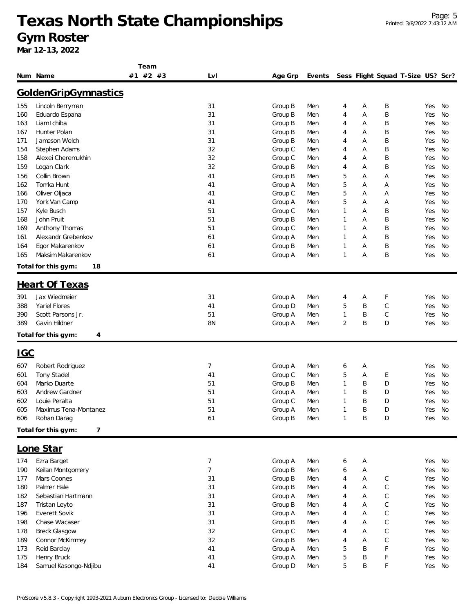|            |                           | Team          |     |                    |            |                |        |              |                                   |     |           |
|------------|---------------------------|---------------|-----|--------------------|------------|----------------|--------|--------------|-----------------------------------|-----|-----------|
|            | Num Name                  | $#2$ #3<br>#1 | Lvl | Age Grp            | Events     |                |        |              | Sess Flight Squad T-Size US? Scr? |     |           |
|            | GoldenGripGymnastics      |               |     |                    |            |                |        |              |                                   |     |           |
|            |                           |               |     |                    |            |                |        |              |                                   |     |           |
| 155        | Lincoln Berryman          |               | 31  | Group B            | Men        | 4              | A      | Β            |                                   | Yes | No        |
| 160        | Eduardo Espana            |               | 31  | Group B            | Men        | 4              | Α      | B            |                                   | Yes | No        |
| 163        | Liam Ichiba               |               | 31  | Group B            | Men        | 4              | Α      | Β            |                                   | Yes | No        |
| 167        | Hunter Polan              |               | 31  | Group B            | Men        | 4              | Α      | B            |                                   | Yes | No        |
| 171        | Jameson Welch             |               | 31  | Group B            | Men        | 4              | A      | B            |                                   | Yes | No        |
| 154        | Stephen Adams             |               | 32  | Group C            | Men        | 4              | Α      | B            |                                   | Yes | No        |
| 158        | Alexei Cheremukhin        |               | 32  | Group C            | Men        | 4              | A      | B            |                                   | Yes | No        |
| 159        | Logan Clark               |               | 32  | Group B            | Men        | 4              | Α      | B            |                                   | Yes | No        |
| 156        | Collin Brown              |               | 41  | Group B            | Men        | 5              | Α      | Α            |                                   | Yes | No        |
| 162        | Tomka Hunt                |               | 41  | Group A            | Men        | 5              | Α      | Α            |                                   | Yes | No        |
| 166        | Oliver Oljaca             |               | 41  | Group C            | Men        | 5              | Α      | Α            |                                   | Yes | No        |
| 170        | York Van Camp             |               | 41  | Group A            | Men        | 5              | Α      | Α            |                                   | Yes | No        |
| 157        | Kyle Busch                |               | 51  | Group C            | Men        | $\mathbf{1}$   | Α      | B            |                                   | Yes | <b>No</b> |
| 168        | John Pruit                |               | 51  | Group B            | Men        | $\mathbf{1}$   | Α      | B            |                                   | Yes | No        |
| 169        | Anthony Thomas            |               | 51  | Group C            | Men        | $\mathbf{1}$   | Α      | Β            |                                   | Yes | No        |
| 161        | Alexandr Grebenkov        |               | 61  | Group A            | Men        | $\mathbf{1}$   | A      | B            |                                   | Yes | No        |
| 164        | Egor Makarenkov           |               | 61  | Group B            | Men        | $\mathbf{1}$   | Α      | B            |                                   | Yes | No        |
| 165        | Maksim Makarenkov         |               | 61  | Group A            | Men        | $\mathbf{1}$   | Α      | B            |                                   | Yes | No        |
|            | Total for this gym:<br>18 |               |     |                    |            |                |        |              |                                   |     |           |
|            | <b>Heart Of Texas</b>     |               |     |                    |            |                |        |              |                                   |     |           |
| 391        | Jax Wiedmeier             |               | 31  |                    |            | 4              |        | F            |                                   | Yes | No        |
| 388        | Yariel Flores             |               | 41  | Group A<br>Group D | Men<br>Men | 5              | Α<br>Β | C            |                                   | Yes | No        |
| 390        | Scott Parsons Jr.         |               | 51  | Group A            | Men        | 1              | Β      | $\mathsf{C}$ |                                   | Yes | No        |
| 389        | Gavin Hildner             |               | 8N  | Group A            | Men        | $\overline{2}$ | B      | D            |                                   | Yes | No        |
|            | Total for this gym:<br>4  |               |     |                    |            |                |        |              |                                   |     |           |
|            |                           |               |     |                    |            |                |        |              |                                   |     |           |
| <u>IGC</u> |                           |               |     |                    |            |                |        |              |                                   |     |           |
| 607        | Robert Rodriguez          |               | 7   | Group A            | Men        | 6              | Α      |              |                                   | Yes | No        |
| 601        | <b>Tony Stadel</b>        |               | 41  | Group C            | Men        | 5              | A      | Ε            |                                   | Yes | No        |
| 604        | Marko Duarte              |               | 51  | Group B            | Men        | 1              | Β      | D            |                                   | Yes | No        |
| 603        | <b>Andrew Gardner</b>     |               | 51  | Group A            | Men        | 1              | B      | D            |                                   | Yes | No        |
| 602        | Louie Peralta             |               | 51  | Group C            | Men        | $\mathbf{1}$   | B      | D            |                                   | Yes | No        |
| 605        | Maximus Tena-Montanez     |               | 51  | Group A            | Men        | $\mathbf{I}$   | B      | D            |                                   | Yes | No        |
| 606        | Rohan Darag               |               | 61  | Group B            | Men        | $\mathbf{1}$   | B      | D            |                                   | Yes | No        |
|            | Total for this gym:<br>7  |               |     |                    |            |                |        |              |                                   |     |           |
|            | Lone Star                 |               |     |                    |            |                |        |              |                                   |     |           |
| 174        | Ezra Barget               |               | 7   | Group A            | Men        | 6              | Α      |              |                                   | Yes | No        |
| 190        | Keilan Montgomery         |               | 7   | Group B            | Men        | 6              | Α      |              |                                   | Yes | No        |
| 177        | Mars Coones               |               | 31  | Group B            | Men        | 4              | Α      | $\mathsf C$  |                                   | Yes | No        |
| 180        | Palmer Hale               |               | 31  | Group B            | Men        | 4              | А      | $\mathsf C$  |                                   | Yes | No        |
| 182        | Sebastian Hartmann        |               | 31  | Group A            | Men        | 4              | Α      | C            |                                   | Yes | No        |
| 187        | Tristan Leyto             |               | 31  | Group B            | Men        | 4              | А      | $\mathsf{C}$ |                                   | Yes | No        |
| 196        | Everett Sovik             |               | 31  | Group A            | Men        | 4              | А      | $\mathsf{C}$ |                                   | Yes | No        |
| 198        | Chase Wacaser             |               | 31  | Group B            | Men        | 4              | А      | $\mathsf{C}$ |                                   | Yes | No        |
| 178        | <b>Breck Glasgow</b>      |               | 32  | Group C            | Men        | 4              | Α      | $\mathsf{C}$ |                                   | Yes | No        |
| 189        | Connor McKimmey           |               | 32  | Group B            | Men        | 4              | A      | $\mathsf{C}$ |                                   | Yes | No        |
| 173        | Reid Barclay              |               | 41  | Group A            | Men        | 5              | B      | F            |                                   | Yes | No        |
| 175        | Henry Bruck               |               | 41  | Group A            | Men        | 5              | B      | F            |                                   | Yes | No        |
| 184        | Samuel Kasongo-Ndjibu     |               | 41  | Group D            | Men        | 5              | B      | F            |                                   | Yes | No        |
|            |                           |               |     |                    |            |                |        |              |                                   |     |           |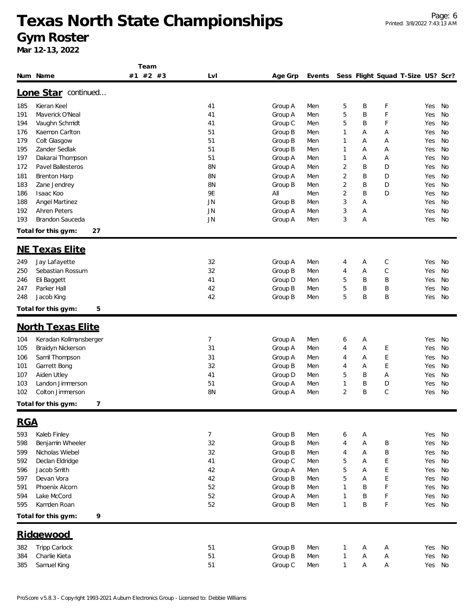**Team**

|            | Num Name                                | #2 #3<br>#1 | LvI       | Age Grp | Events |                |        | Sess Flight Squad T-Size US? Scr? |            |          |
|------------|-----------------------------------------|-------------|-----------|---------|--------|----------------|--------|-----------------------------------|------------|----------|
|            | Lone Star continued                     |             |           |         |        |                |        |                                   |            |          |
| 185        | Kieran Keel                             |             | 41        | Group A | Men    | 5              | B      | F                                 | Yes        | No       |
| 191        | Maverick O'Neal                         |             | 41        | Group A | Men    | 5              | B      | F                                 | Yes        | No       |
| 194        | Vaughn Schmidt                          |             | 41        | Group C | Men    | 5              | B      | F                                 | Yes        | No       |
| 176        | Kaemon Carlton                          |             | 51        | Group B | Men    | 1              | Α      | Α                                 | Yes        | No       |
| 179        | Colt Glasgow                            |             | 51        | Group B | Men    | 1              | Α      | Α                                 | Yes        | No       |
| 195        | Zander Sedlak                           |             | 51        | Group B | Men    | 1              | Α      | Α                                 | Yes        | No       |
| 197        | Dakarai Thompson                        |             | 51        | Group A | Men    | 1              | Α      | Α                                 | Yes        | No       |
| 172        | Pavel Ballesteros                       |             | 8N        | Group A | Men    | 2              | B      | D                                 | Yes        | No       |
| 181        | <b>Brenton Harp</b>                     |             | <b>8N</b> | Group A | Men    | $\overline{2}$ | B      | D                                 | Yes        | No       |
| 183        | Zane Jendrey                            |             | 8N        | Group B | Men    | $\overline{2}$ | B      | D                                 | Yes        | No       |
| 186        | Isaac Koo                               |             | 9E        | All     | Men    | $\overline{2}$ | B      | D                                 | Yes        | No       |
| 188        | <b>Angel Martinez</b>                   |             | JN        | Group B | Men    | 3              | Α      |                                   | Yes        | No       |
| 192        | <b>Ahren Peters</b>                     |             | <b>JN</b> | Group A | Men    | 3              | Α      |                                   | Yes        | No       |
| 193        | Brandon Sauceda                         |             | <b>JN</b> | Group A | Men    | 3              | Α      |                                   | Yes        | No       |
|            | Total for this gym:<br>27               |             |           |         |        |                |        |                                   |            |          |
|            |                                         |             |           |         |        |                |        |                                   |            |          |
| 249        | <b>NE Texas Elite</b><br>Jay Lafayette  |             | 32        | Group A | Men    | 4              | Α      | С                                 | Yes        | No       |
|            |                                         |             |           |         |        |                |        |                                   |            |          |
| 250<br>246 | Sebastian Rossum<br>Eli Baggett         |             | 32<br>41  | Group B | Men    | 4              | Α      | C<br>B                            | Yes        | No<br>No |
| 247        | Parker Hall                             |             | 42        | Group D | Men    | 5<br>5         | B<br>B | B                                 | Yes        | No       |
| 248        |                                         |             | 42        | Group B | Men    | 5              | B      | B                                 | Yes<br>Yes | No       |
|            | Jacob King                              |             |           | Group B | Men    |                |        |                                   |            |          |
|            | 5<br>Total for this gym:                |             |           |         |        |                |        |                                   |            |          |
|            | <b>North Texas Elite</b>                |             |           |         |        |                |        |                                   |            |          |
| 104        | Keradan Kollmansberger                  |             | 7         | Group A | Men    | 6              | A      |                                   | Yes        | No       |
| 105        | Braidyn Nickerson                       |             | 31        | Group A | Men    | 4              | Α      | Ε                                 | Yes        | No       |
| 106        | Samil Thompson                          |             | 31        | Group A | Men    | 4              | Α      | E                                 | Yes        | No       |
| 101        | Garrett Bong                            |             | 32        | Group B | Men    | 4              | Α      | E                                 | Yes        | No       |
| 107        | Aiden Utley                             |             | 41        | Group D | Men    | 5              | B      | Α                                 | Yes        | No       |
| 103        | Landon Jimmerson                        |             | 51        | Group A | Men    | $\mathbf{1}$   | B      | D                                 | Yes        | No       |
| 102        | Colton Jimmerson                        |             | 8N        | Group A | Men    | $\overline{2}$ | B      | $\mathsf{C}$                      | Yes        | No       |
|            | 7<br>Total for this gym:                |             |           |         |        |                |        |                                   |            |          |
| <b>RGA</b> |                                         |             |           |         |        |                |        |                                   |            |          |
| 593        | Kaleb Finley                            |             | 7         | Group B | Men    | 6              | Α      |                                   | Yes        | No       |
| 598        | Benjamin Wheeler                        |             | 32        | Group B | Men    | 4              | Α      | B                                 | Yes        | No       |
|            |                                         |             |           |         |        |                |        |                                   |            |          |
| 599        | Nicholas Wiebel                         |             | 32        | Group B | Men    | 4              | Α      | B                                 | Yes        | No       |
| 592        | Declan Eldridge                         |             | 41        | Group C | Men    | 5              | Α      | E                                 | Yes        | No       |
| 596        | Jacob Smith<br>Devan Vora               |             | 42        | Group A | Men    | 5              | Α      | E                                 | Yes        | No       |
| 597        | Phoenix Alcorn                          |             | 42<br>52  | Group B | Men    | 5              | Α      | E<br>F                            | Yes        | No       |
| 591        |                                         |             |           | Group B | Men    | 1              | Β      |                                   | Yes        | No       |
| 594        | Lake McCord                             |             | 52<br>52  | Group A | Men    | 1              | Β<br>B | F<br>F                            | Yes        | No       |
| 595        | Kamden Roan<br>Total for this gym:<br>9 |             |           | Group B | Men    | 1              |        |                                   | Yes        | No       |
|            |                                         |             |           |         |        |                |        |                                   |            |          |
|            | Ridgewood                               |             |           |         |        |                |        |                                   |            |          |
| 382        | <b>Tripp Carlock</b>                    |             | 51        | Group B | Men    | 1              | Α      | Α                                 | Yes        | No       |
| 384        | Charlie Kieta                           |             | 51        | Group B | Men    | 1              | Α      | Α                                 | Yes        | No       |
| 385        | Samuel King                             |             | 51        | Group C | Men    | 1              | А      | Α                                 | Yes        | No       |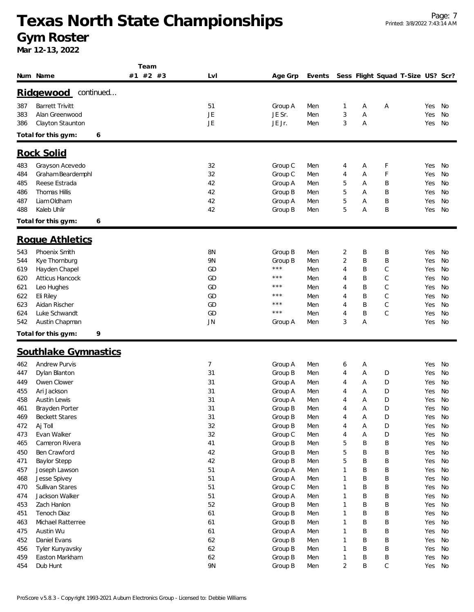|     |                          | Team     |           |                   |        |                |   |                                   |        |    |
|-----|--------------------------|----------|-----------|-------------------|--------|----------------|---|-----------------------------------|--------|----|
|     | Num Name                 | #1 #2 #3 | LvI       | Age Grp           | Events |                |   | Sess Flight Squad T-Size US? Scr? |        |    |
|     | continued<br>Ridgewood   |          |           |                   |        |                |   |                                   |        |    |
| 387 | <b>Barrett Trivitt</b>   |          | 51        | Group A           | Men    | 1              | Α | Α                                 | Yes    | No |
| 383 | Alan Greenwood           |          | JE        | JE Sr.            | Men    | 3              | Α |                                   | Yes    | No |
| 386 | Clayton Staunton         |          | JE        | JE Jr.            | Men    | 3              | Α |                                   | Yes    | No |
|     | Total for this gym:<br>6 |          |           |                   |        |                |   |                                   |        |    |
|     |                          |          |           |                   |        |                |   |                                   |        |    |
|     | <b>Rock Solid</b>        |          |           |                   |        |                |   |                                   |        |    |
| 483 | Grayson Acevedo          |          | 32        | Group C           | Men    | 4              | Α | F                                 | Yes    | No |
| 484 | Graham Beardemphl        |          | 32        | Group C           | Men    | 4              | Α | F                                 | Yes    | No |
| 485 | Reese Estrada            |          | 42        | Group A           | Men    | 5              | Α | Β                                 | Yes    | No |
| 486 | Thomas Hillis            |          | 42        | Group B           | Men    | 5              | Α | Β                                 | Yes    | No |
| 487 | Liam Oldham              |          | 42        | Group A           | Men    | 5              | Α | B                                 | Yes    | No |
| 488 | Kaleb Uhlir              |          | 42        | Group B           | Men    | 5              | Α | B                                 | Yes    | No |
|     | Total for this gym:<br>6 |          |           |                   |        |                |   |                                   |        |    |
|     | Roque Athletics          |          |           |                   |        |                |   |                                   |        |    |
| 543 | Phoenix Smith            |          | 8N        | Group B           | Men    | 2              | Β | Β                                 | Yes    | No |
| 544 | Kye Thornburg            |          | 9N        | Group B           | Men    | $\overline{2}$ | B | Β                                 | Yes    | No |
| 619 | Hayden Chapel            |          | GD        | $\star\star\star$ | Men    | 4              | Β | C                                 | Yes    | No |
| 620 | Atticus Hancock          |          | GD        | $\star\star\star$ | Men    | 4              | Β | C                                 | Yes    | No |
| 621 | Leo Hughes               |          | GD        | $***$             | Men    | 4              | Β | С                                 | Yes    | No |
| 622 | Eli Riley                |          | GD        | ***               | Men    | 4              | B | C                                 | Yes    | No |
| 623 | Aidan Rischer            |          | GD        | $***$             | Men    | 4              | B | C                                 | Yes    | No |
| 624 | Luke Schwandt            |          | GD        | $***$             | Men    | 4              | Β | C                                 | Yes    | No |
| 542 | Austin Chapman           |          | JN        | Group A           | Men    | 3              | Α |                                   | Yes    | No |
|     | 9<br>Total for this gym: |          |           |                   |        |                |   |                                   |        |    |
|     |                          |          |           |                   |        |                |   |                                   |        |    |
|     | Southlake Gymnastics     |          |           |                   |        |                |   |                                   |        |    |
| 462 | <b>Andrew Purvis</b>     |          | 7         | Group A           | Men    | 6              | Α |                                   | Yes    | No |
| 447 | Dylan Blanton            |          | 31        | Group B           | Men    | 4              | Α | D                                 | Yes    | No |
| 449 | Owen Clower              |          | 31        | Group A           | Men    | 4              | Α | D                                 | Yes    | No |
| 455 | Ari Jackson              |          | 31        | Group A           | Men    | 4              | Α | D                                 | Yes    | No |
| 458 | <b>Austin Lewis</b>      |          | 31        | Group A           | Men    | 4              | A | D                                 | Yes    | No |
| 461 | Brayden Porter           |          | 31        | Group B           | Men    | 4              | A | D                                 | Yes    | No |
| 469 | <b>Beckett Stares</b>    |          | 31        | Group B           | Men    | 4              | А | D                                 | Yes    | No |
| 472 | Aj Toll                  |          | 32        | Group B           | Men    | 4              | Α | D                                 | Yes    | No |
| 473 | Evan Walker              |          | 32        | Group C           | Men    | 4              | А | D                                 | Yes    | No |
| 465 | Cameron Rivera           |          | 41        | Group B           | Men    | 5              | Β | Β                                 | Yes    | No |
| 450 | Ben Crawford             |          | 42        | Group B           | Men    | 5              | B | Β                                 | Yes    | No |
| 471 | <b>Baylor Stepp</b>      |          | 42        | Group B           | Men    | 5              | B | Β                                 | Yes    | No |
| 457 | Joseph Lawson            |          | 51        | Group A           | Men    | 1              | B | Β                                 | Yes    | No |
| 468 | Jesse Spivey             |          | 51        | Group A           | Men    | 1              | B | B                                 | Yes    | No |
| 470 | Sullivan Stares          |          | 51        | Group C           | Men    | 1              | Β | Β                                 | Yes    | No |
| 474 | Jackson Walker           |          | 51        | Group A           | Men    | 1              | B | Β                                 | Yes    | No |
| 453 | Zach Hanlon              |          | 52        | Group B           | Men    | 1              | B | Β                                 | Yes    | No |
| 451 | Tenoch Diaz              |          | 61        | Group B           | Men    | 1              | B | Β                                 | Yes    | No |
| 463 | Michael Ratterree        |          | 61        | Group B           | Men    | 1              | Β | Β                                 | Yes    | No |
| 475 | Austin Wu                |          | 61        | Group A           | Men    | 1              | B | Β                                 | Yes    | No |
| 452 | Daniel Evans             |          | 62        | Group B           | Men    | 1              | Β | Β                                 | Yes    | No |
| 456 | Tyler Kunyavsky          |          | 62        | Group B           | Men    | 1              | Β | Β                                 | Yes    | No |
| 459 | Easton Markham           |          | 62        | Group B           | Men    | 1              | Β | Β                                 | Yes    | No |
| 454 | Dub Hunt                 |          | <b>9N</b> | Group B           | Men    | $\overline{2}$ | B | C                                 | Yes No |    |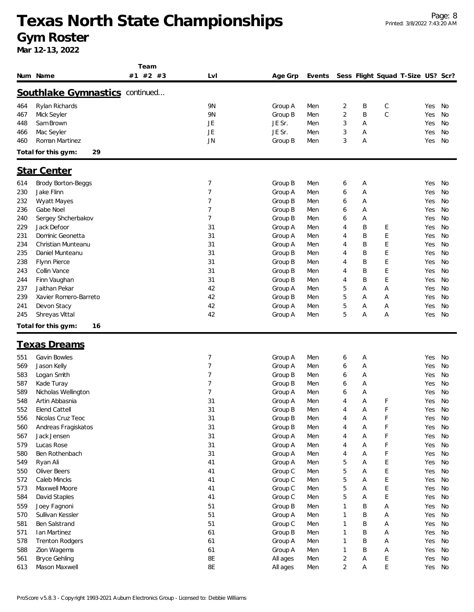**Team**

|            | Num Name                              | #1 #2 #3 | LvI            | Age Grp            | Events     |                |        |             | Sess Flight Squad T-Size US? Scr? |            |          |
|------------|---------------------------------------|----------|----------------|--------------------|------------|----------------|--------|-------------|-----------------------------------|------------|----------|
|            | <b>Southlake Gymnastics continued</b> |          |                |                    |            |                |        |             |                                   |            |          |
| 464        | Rylan Richards                        |          | 9N             | Group A            | Men        | 2              | Β      | С           |                                   | Yes        | No       |
| 467        | Mick Seyler                           |          | 9N             | Group B            | Men        | $\overline{2}$ | B      | C           |                                   | Yes        | No       |
| 448        | Sam Brown                             |          | JE             | JE Sr.             | Men        | 3              | Α      |             |                                   | Yes        | No       |
| 466        | Mac Seyler                            |          | JE             | JE Sr.             | Men        | 3              | Α      |             |                                   | Yes        | No       |
| 460        | Roman Martinez                        |          | JN             | Group B            | Men        | 3              | Α      |             |                                   | Yes        | No       |
|            | 29<br>Total for this gym:             |          |                |                    |            |                |        |             |                                   |            |          |
|            | <b>Star Center</b>                    |          |                |                    |            |                |        |             |                                   |            |          |
| 614        |                                       |          | 7              |                    |            |                |        |             |                                   | Yes        | No       |
| 230        | Brody Borton-Beggs<br>Jake Flinn      |          | 7              | Group B            | Men        | 6              | Α      |             |                                   |            | No       |
|            |                                       |          | 7              | Group A            | Men        | 6              | Α      |             |                                   | Yes        |          |
| 232<br>236 | Wyatt Mayes<br>Gabe Noel              |          | 7              | Group B<br>Group B | Men<br>Men | 6<br>6         | Α<br>Α |             |                                   | Yes<br>Yes | No<br>No |
| 240        | Sergey Shcherbakov                    |          | 7              | Group B            | Men        | 6              | Α      |             |                                   | Yes        | No       |
| 229        | Jack Defoor                           |          | 31             | Group A            | Men        | 4              | B      | Ε           |                                   | Yes        | No       |
| 231        | Dominic Geonetta                      |          | 31             | Group A            | Men        | 4              | B      | E           |                                   | Yes        | No       |
| 234        | Christian Munteanu                    |          | 31             | Group A            | Men        | 4              | B      | Ε           |                                   | Yes        | No       |
| 235        | Daniel Munteanu                       |          | 31             | Group B            | Men        | 4              | B      | Ε           |                                   | Yes        | No       |
| 238        | Flynn Pierce                          |          | 31             | Group B            | Men        | 4              | B      | Ε           |                                   | Yes        | No       |
| 243        | Collin Vance                          |          | 31             | Group B            | Men        | 4              | B      | Ε           |                                   | Yes        | No       |
| 244        | Finn Vaughan                          |          | 31             | Group B            | Men        | 4              | B      | E           |                                   | Yes        | No       |
| 237        | Jaithan Pekar                         |          | 42             | Group A            | Men        | 5              | Α      | Α           |                                   | Yes        | No       |
| 239        | Xavier Romero-Barreto                 |          | 42             | Group B            | Men        | 5              | Α      | Α           |                                   | Yes        | No       |
| 241        | Devon Stacy                           |          | 42             | Group A            | Men        | 5              | Α      | Α           |                                   | Yes        | No       |
| 245        | Shreyas Vittal                        |          | 42             | Group A            | Men        | 5              | Α      | Α           |                                   | Yes        | No       |
|            | Total for this gym:<br>16             |          |                |                    |            |                |        |             |                                   |            |          |
|            | <u>Texas Dreams</u>                   |          |                |                    |            |                |        |             |                                   |            |          |
| 551        | Gavin Bowles                          |          | 7              | Group A            | Men        | 6              | А      |             |                                   | Yes        | No       |
| 569        | Jason Kelly                           |          | 7              | Group A            | Men        | 6              | Α      |             |                                   | Yes        | No       |
| 583        | Logan Smith                           |          | $\overline{7}$ | Group B            | Men        | 6              | Α      |             |                                   | Yes        | No       |
| 587        | Kade Turay                            |          | 7              | Group B            | Men        | 6              | Α      |             |                                   | Yes        | No       |
| 589        | Nicholas Wellington                   |          | 7              | Group A            | Men        | 6              | Α      |             |                                   | Yes        | No       |
| 548        | Artin Abbasnia                        |          | 31             | Group A            | Men        | 4              | Α      | F           |                                   | Yes        | No       |
| 552        | Elend Cattell                         |          | 31             | Group B            | Men        | 4              | Α      | F           |                                   | Yes        | No       |
| 556        | Nicolas Cruz Teoc                     |          | 31             | Group B            | Men        | 4              | А      | F           |                                   | Yes        | No       |
| 560        | Andreas Fragiskatos                   |          | 31             | Group B            | Men        | 4              | Α      | F           |                                   | Yes        | No       |
| 567        | Jack Jensen                           |          | 31             | Group A            | Men        | 4              | Α      | F           |                                   | Yes        | No       |
| 579        | Lucas Rose                            |          | 31             | Group A            | Men        | 4              | Α      | F           |                                   | Yes        | No       |
| 580        | Ben Rothenbach                        |          | 31             | Group A            | Men        | 4              | Α      | F           |                                   | Yes        | No       |
| 549        | Ryan Ali                              |          | 41             | Group A            | Men        | 5              | Α      | E           |                                   | Yes        | No       |
| 550        | Oliver Beers                          |          | 41             | Group C            | Men        | 5              | Α      | Ε           |                                   | Yes        | No       |
| 572        | Caleb Mincks                          |          | 41             | Group C            | Men        | 5              | Α      | E           |                                   | Yes        | No       |
| 573        | Maxwell Moore                         |          | 41             | Group C            | Men        | 5              | Α      | E           |                                   | Yes        | No       |
| 584        | David Staples                         |          | 41             | Group C            | Men        | 5              | Α      | E           |                                   | Yes        | No       |
| 559        | Joey Fagnoni                          |          | 51             | Group B            | Men        | 1              | Β      | Α           |                                   | Yes        | No       |
| 570        | Sullivan Kessler                      |          | 51             | Group A            | Men        | 1              | B      | Α           |                                   | Yes        | No       |
| 581        | Ben Salstrand                         |          | 51             | Group C            | Men        | 1              | B      | Α           |                                   | Yes        | No       |
| 571        | Ian Martinez                          |          | 61             | Group B            | Men        | 1              | B      | Α           |                                   | Yes        | No       |
| 578        | <b>Trenton Rodgers</b>                |          | 61             | Group A            | Men        | 1              | B      | Α           |                                   | Yes        | No       |
| 588        | Zion Wagema                           |          | 61             | Group A            | Men        | 1              | B      | Α           |                                   | Yes        | No       |
| 561        | <b>Bryce Gehling</b>                  |          | 8E             | All ages           | Men        | 2              | Α      | Е           |                                   | Yes        | No       |
| 613        | Mason Maxwell                         |          | 8E             | All ages           | Men        | $\overline{2}$ | А      | $\mathsf E$ |                                   | Yes        | No       |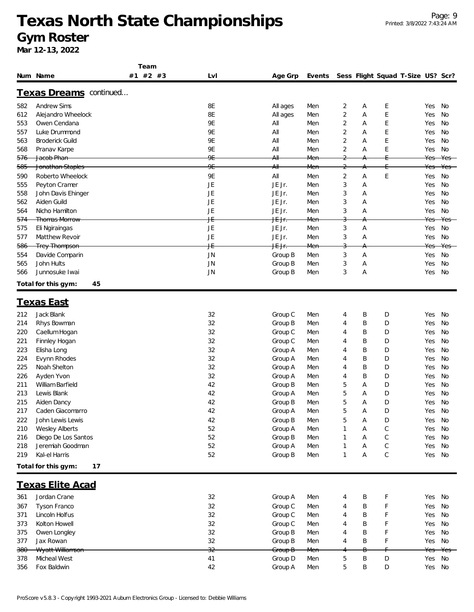|     |                               | Team     |           |                   |     |                |   |   |                                          |     |        |
|-----|-------------------------------|----------|-----------|-------------------|-----|----------------|---|---|------------------------------------------|-----|--------|
|     | Num Name                      | #1 #2 #3 | LvI       | Age Grp           |     |                |   |   | Events Sess Flight Squad T-Size US? Scr? |     |        |
|     | <u>Texas Dreams</u> continued |          |           |                   |     |                |   |   |                                          |     |        |
| 582 | <b>Andrew Sims</b>            |          | 8E        | All ages          | Men | 2              | Α | E |                                          | Yes | No     |
| 612 | Alejandro Wheelock            |          | 8E        | All ages          | Men | $\overline{2}$ | A | E |                                          | Yes | No     |
| 553 | Owen Cendana                  |          | 9E        | All               | Men | $\overline{2}$ | Α | E |                                          | Yes | No     |
| 557 | Luke Drummond                 |          | <b>9E</b> | All               | Men | 2              | Α | E |                                          | Yes | No     |
| 563 | <b>Broderick Guild</b>        |          | <b>9E</b> | All               | Men | 2              | Α | E |                                          | Yes | No     |
| 568 | Pranav Karpe                  |          | <b>9E</b> | All               | Men | 2              | Α | E |                                          | Yes | No     |
| 576 | Jacob Phan                    |          | 9E        | A⊪                | Men | $\overline{2}$ |   |   |                                          | Yes | Yes    |
| 585 | Jonathan Staples              |          | 9E        | A⊪                | Men | 2              |   |   |                                          | Yes | Yes    |
| 590 | Roberto Wheelock              |          | <b>9E</b> | All               | Men | 2              | Α | E |                                          | Yes | No     |
| 555 | Peyton Cramer                 |          | JE        | JE Jr.            | Men | 3              | Α |   |                                          | Yes | No     |
| 558 | John Davis Ehinger            |          | JE        | JE Jr.            | Men | 3              | Α |   |                                          | Yes | No     |
| 562 | Aiden Guild                   |          | JE        | JE Jr.            | Men | 3              | Α |   |                                          | Yes | No     |
| 564 | Nicho Hamilton                |          | JE        | JE Jr.            | Men | 3              | Α |   |                                          | Yes | No     |
| 574 | <b>Thomas Morrow</b>          |          | ΨĖ        | <del>JE Jr.</del> | Men | 3              |   |   |                                          | Yes | Yes    |
| 575 | Eli Ngiraingas                |          | JE        | JE Jr.            | Men | 3              | Α |   |                                          | Yes | No     |
| 577 | <b>Matthew Revoir</b>         |          | JE        | JE Jr.            | Men | 3              | Α |   |                                          | Yes | No     |
| 586 | <b>Trey Thompson</b>          |          | ΨĖ        | <del>JE Jr.</del> | Men |                |   |   |                                          | Yes | Yes    |
| 554 | Davide Comparin               |          | <b>JN</b> | Group B           | Men | 3              | Α |   |                                          | Yes | No     |
| 565 | John Hults                    |          | JN        | Group B           | Men | 3              | Α |   |                                          | Yes | No     |
| 566 | Junnosuke Iwai                |          | <b>JN</b> | Group B           | Men | 3              | Α |   |                                          | Yes | No     |
|     | Total for this gym:<br>45     |          |           |                   |     |                |   |   |                                          |     |        |
|     |                               |          |           |                   |     |                |   |   |                                          |     |        |
|     | <u>Texas East</u>             |          |           |                   |     |                |   |   |                                          |     |        |
| 212 | Jack Blank                    |          | 32        | Group C           | Men | 4              | Β | D |                                          | Yes | No     |
| 214 | Rhys Bowman                   |          | 32        | Group B           | Men | 4              | Β | D |                                          | Yes | No     |
| 220 | Caellum Hogan                 |          | 32        | Group C           | Men | 4              | B | D |                                          | Yes | No     |
| 221 | Finnley Hogan                 |          | 32        | Group C           | Men | 4              | B | D |                                          | Yes | No     |
| 223 | Elisha Long                   |          | 32        | Group A           | Men | 4              | Β | D |                                          | Yes | No     |
| 224 | Evynn Rhodes                  |          | 32        | Group A           | Men | 4              | Β | D |                                          | Yes | No     |
| 225 | Noah Shelton                  |          | 32        | Group A           | Men | 4              | Β | D |                                          | Yes | No     |
| 226 | Ayden Yvon                    |          | 32        | Group A           | Men | 4              | Β | D |                                          | Yes | No     |
| 211 | William Barfield              |          | 42        | Group B           | Men | 5              | A | D |                                          | Yes | No     |
| 213 | Lewis Blank                   |          | 42        | Group A           | Men | 5              | A | D |                                          | Yes | No     |
| 215 | Aiden Dancy                   |          | 42        | Group B           | Men | 5              | Α | D |                                          | Yes | No     |
| 217 | Caden Giacomarro              |          | 42        | Group A           | Men | 5              | Α | D |                                          |     | Yes No |
| 222 | John Lewis Lewis              |          | 42        | Group B           | Men | 5              | A | D |                                          | Yes | No     |
| 210 | <b>Wesley Alberts</b>         |          | 52        | Group A           | Men | 1              | Α | C |                                          | Yes | No     |
| 216 | Diego De Los Santos           |          | 52        | Group B           | Men | 1              | A | С |                                          | Yes | No     |
| 218 | Jeremiah Goodman              |          | 52        | Group A           | Men | 1              | A | C |                                          | Yes | No     |
| 219 | Kal-el Harris                 |          | 52        | Group B           | Men | 1              | Α | C |                                          | Yes | No     |
|     | Total for this gym:<br>17     |          |           |                   |     |                |   |   |                                          |     |        |
|     | <u>Texas Elite Acad</u>       |          |           |                   |     |                |   |   |                                          |     |        |
| 361 | Jordan Crane                  |          | 32        | Group A           | Men | 4              | Β | F |                                          | Yes | No     |
| 367 | Tyson Franco                  |          | 32        | Group C           | Men | 4              | Β | F |                                          | Yes | No     |
| 371 | Lincoln Holfus                |          | 32        | Group C           | Men | 4              | Β | F |                                          | Yes | No     |
| 373 | Kolton Howell                 |          | 32        | Group C           | Men | 4              | Β | F |                                          | Yes | No     |
| 375 | Owen Longley                  |          | 32        | Group B           | Men | 4              | Β | F |                                          | Yes | No     |
| 377 | Jax Rowan                     |          | 32        | Group B           | Men | 4              | Β | F |                                          | Yes | No     |
| 380 | Wyatt Williamson              |          | 32        | Group B           | Men |                |   |   |                                          | Yes | Yes    |
| 378 | Micheal West                  |          | 41        | Group D           | Men | 5              | Β | D |                                          | Yes | No     |
| 356 | Fox Baldwin                   |          | 42        | Group A           | Men | 5              | Β | D |                                          | Yes | No     |
|     |                               |          |           |                   |     |                |   |   |                                          |     |        |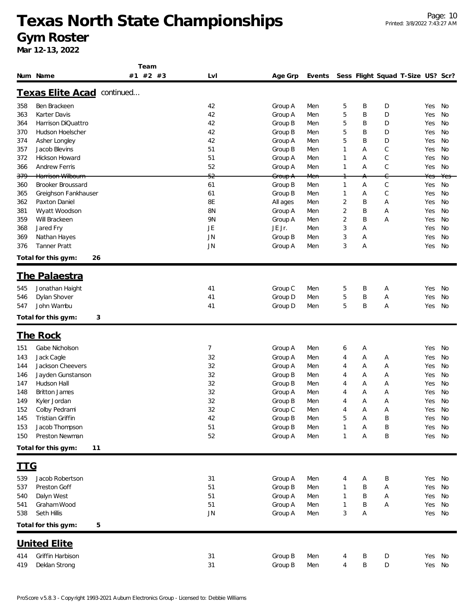**Team**

**Mar 12-13, 2022**

|                | Num Name                   | #2 #3<br>#1 | Lvl       | Age Grp            | Events         |                |        | Sess Flight Squad T-Size US? Scr? |        |     |
|----------------|----------------------------|-------------|-----------|--------------------|----------------|----------------|--------|-----------------------------------|--------|-----|
|                | Texas Elite Acad continued |             |           |                    |                |                |        |                                   |        |     |
| 358            | Ben Brackeen               |             | 42        | Group A            | Men            | 5              | Β      | D                                 | Yes    | No  |
| 363            | Karter Davis               |             | 42        | Group A            | Men            | 5              | Β      | D                                 | Yes    | No  |
| 364            | Harrison DiQuattro         |             | 42        | Group B            | Men            | 5              | Β      | D                                 | Yes    | No  |
| 370            | Hudson Hoelscher           |             | 42        | Group B            | Men            | 5              | Β      | D                                 | Yes    | No  |
| 374            | Asher Longley              |             | 42        | Group A            | Men            | 5              | Β      | D                                 | Yes    | No  |
| 357            | Jacob Blevins              |             | 51        | Group B            | Men            | 1              | Α      | C                                 | Yes    | No  |
| 372            | Hickson Howard             |             | 51        | Group A            | Men            | 1              | Α      | C                                 | Yes    | No  |
| 366            | <b>Andrew Ferris</b>       |             | 52        | Group A            | Men            | 1              | Α      | $\mathsf C$                       | Yes    | No  |
| <del>379</del> | Harrison Wilbourn          |             | 52        | <del>Group A</del> | <del>Men</del> |                | A      | C                                 | Yes    | Yes |
| 360            | <b>Brooker Broussard</b>   |             | 61        | Group B            | Men            | 1              | Α      | $\mathsf C$                       | Yes    | No  |
| 365            | Greighson Fankhauser       |             | 61        | Group B            | Men            | 1              | Α      | $\mathsf C$                       | Yes    | No  |
| 362            | Paxton Daniel              |             | 8Ε        | All ages           | Men            | 2              | Β      | Α                                 | Yes    | No  |
| 381            | Wyatt Woodson              |             | 8N        | Group A            | Men            | $\overline{2}$ | Β      | Α                                 | Yes    | No  |
| 359            | Will Brackeen              |             | 9N        | Group A            | Men            | 2              | Β      | Α                                 | Yes    | No  |
| 368            | Jared Fry                  |             | JE        | JE Jr.             | Men            | 3              | Α      |                                   | Yes    | No  |
| 369            | Nathan Hayes               |             | <b>JN</b> | Group B            | Men            | 3              | Α      |                                   | Yes    | No  |
| 376            | <b>Tanner Pratt</b>        |             | <b>JN</b> | Group A            | Men            | 3              | Α      |                                   | Yes    | No  |
|                | Total for this gym:<br>26  |             |           |                    |                |                |        |                                   |        |     |
|                | <u>The Palaestra</u>       |             |           |                    |                |                |        |                                   |        |     |
|                |                            |             |           |                    |                |                |        |                                   |        |     |
| 545            | Jonathan Haight            |             | 41        | Group C            | Men            | 5              | Β      | Α                                 | Yes    | No  |
| 546            | Dylan Shover               |             | 41        | Group D            | Men            | 5              | B      | Α                                 | Yes    | No  |
| 547            | John Wambu                 |             | 41        | Group D            | Men            | 5              | Β      | Α                                 | Yes    | No  |
|                | Total for this gym:<br>3   |             |           |                    |                |                |        |                                   |        |     |
|                | <u>The Rock</u>            |             |           |                    |                |                |        |                                   |        |     |
| 151            | Gabe Nicholson             |             | 7         | Group A            | Men            | 6              | A      |                                   | Yes    | No  |
| 143            | Jack Cagle                 |             | 32        | Group A            | Men            | 4              | Α      | Α                                 | Yes    | No  |
| 144            | Jackson Cheevers           |             | 32        | Group A            | Men            | 4              | Α      | Α                                 | Yes    | No  |
| 146            | Jayden Gunstanson          |             | 32        | Group B            | Men            | 4              | Α      | Α                                 | Yes    | No  |
| 147            | Hudson Hall                |             | 32        | Group B            | Men            | 4              | Α      | Α                                 | Yes    | No  |
| 148            | <b>Britton James</b>       |             | 32        | Group A            | Men            | 4              | A      | Α                                 | Yes    | No  |
| 149            | Kyler Jordan               |             | 32        | Group B            | Men            | 4              | Α      | Α                                 | Yes    | No  |
| 152            | Colby Pedrami              |             | 32        | Group C            | Men            | 4              | Α      | Α                                 | Yes    | No  |
| 145            | Tristian Griffin           |             | 42        | Group B            | Men            | 5              | А      | B                                 | Yes No |     |
| 153            | Jacob Thompson             |             | 51        | Group B            | Men            | 1              | Α      | Β                                 | Yes No |     |
| 150            | Preston Newman             |             | 52        | Group A            | Men            | 1              | Α      | Β                                 | Yes    | No  |
|                | Total for this gym:<br>11  |             |           |                    |                |                |        |                                   |        |     |
|                |                            |             |           |                    |                |                |        |                                   |        |     |
| <u>ttg</u>     |                            |             |           |                    |                |                |        |                                   |        |     |
| 539            | Jacob Robertson            |             | 31        | Group A            | Men            | 4              | Α      | Β                                 | Yes    | No  |
| 537            | Preston Goff               |             | 51        | Group B            | Men            | 1              | Β      | Α                                 | Yes    | No  |
| 540            | Dalyn West                 |             | 51        | Group A            | Men            | 1              | Β      | Α                                 | Yes    | No  |
| 541            | Graham Wood                |             | 51        | Group A            | Men            | 1              | Β      | Α                                 | Yes    | No  |
| 538            | Seth Hillis                |             | <b>JN</b> | Group A            | Men            | 3              | Α      |                                   | Yes No |     |
|                | Total for this gym:<br>5   |             |           |                    |                |                |        |                                   |        |     |
|                | <u>United Elite</u>        |             |           |                    |                |                |        |                                   |        |     |
| 414            | Griffin Harbison           |             |           |                    | Men            |                |        |                                   | Yes No |     |
| 419            | Deklan Strong              |             | 31<br>31  | Group B<br>Group B | Men            | 4<br>4         | B<br>Β | D<br>D                            | Yes No |     |
|                |                            |             |           |                    |                |                |        |                                   |        |     |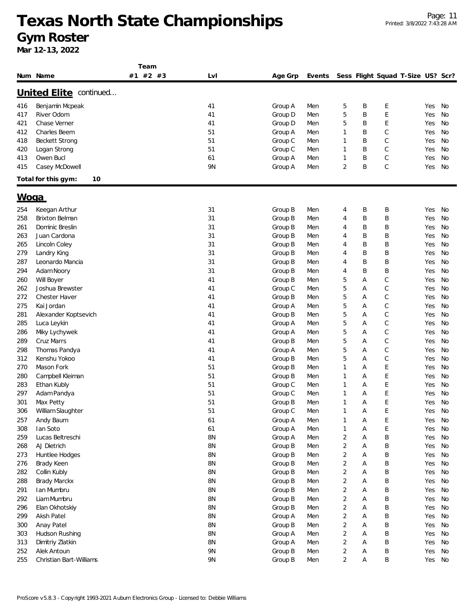|            |                              | Team     |          |                    |            |                |   |                                   |            |           |
|------------|------------------------------|----------|----------|--------------------|------------|----------------|---|-----------------------------------|------------|-----------|
|            | Num Name                     | #1 #2 #3 | LvI      | Age Grp            | Events     |                |   | Sess Flight Squad T-Size US? Scr? |            |           |
|            | United Elite continued       |          |          |                    |            |                |   |                                   |            |           |
| 416        | Benjamin Mcpeak              |          | 41       | Group A            | Men        | 5              | Β | E                                 | Yes        | No        |
| 417        | River Odom                   |          | 41       | Group D            | Men        | 5              | B | E                                 | Yes        | No        |
| 421        | Chase Verner                 |          | 41       | Group D            | Men        | 5              | B | E                                 | Yes        | No        |
| 412        | Charles Beem                 |          | 51       |                    |            | $\mathbf{1}$   | B | $\mathcal{C}$                     | Yes        | No        |
|            | <b>Beckett Strong</b>        |          | 51       | Group A            | Men        | $\mathbf{1}$   | B | C                                 |            | No        |
| 418        |                              |          | 51       | Group C            | Men        | $\mathbf{1}$   | B | C                                 | Yes        |           |
| 420        | Logan Strong                 |          |          | Group C            | Men        | $\mathbf{1}$   | B | C                                 | Yes        | No        |
| 413<br>415 | Owen Bucl<br>Casey McDowell  |          | 61<br>9N | Group A<br>Group A | Men<br>Men | $\overline{2}$ | B | $\mathcal{C}$                     | Yes<br>Yes | No<br>No  |
|            | Total for this gym:<br>10    |          |          |                    |            |                |   |                                   |            |           |
| Woga       |                              |          |          |                    |            |                |   |                                   |            |           |
|            |                              |          |          |                    |            |                |   |                                   |            |           |
| 254        | Keegan Arthur                |          | 31       | Group B            | Men        | 4              | Β | Β                                 | Yes        | No        |
| 258        | <b>Brixton Belman</b>        |          | 31       | Group B            | Men        | 4              | Β | Β                                 | Yes        | No        |
| 261        | Dominic Breslin              |          | 31       | Group B            | Men        | 4              | B | B                                 | Yes        | No        |
| 263        | Juan Cardona                 |          | 31       | Group B            | Men        | 4              | B | B                                 | Yes        | No        |
| 265        | Lincoln Coley                |          | 31       | Group B            | Men        | 4              | B | B                                 | Yes        | No        |
| 279        | Landry King                  |          | 31       | Group B            | Men        | 4              | B | B                                 | Yes        | No        |
| 287        | Leonardo Mancia              |          | 31       | Group B            | Men        | 4              | B | B                                 | Yes        | No        |
| 294        | Adam Noory                   |          | 31       | Group B            | Men        | 4              | B | B                                 | Yes        | No        |
| 260        | Will Boyer                   |          | 41       | Group B            | Men        | 5              | Α | C                                 | Yes        | No        |
| 262        | Joshua Brewster              |          | 41       | Group C            | Men        | 5              | Α | C                                 | Yes        | No        |
| 272        | <b>Chester Haver</b>         |          | 41       | Group B            | Men        | 5              | Α | C                                 | Yes        | No        |
| 275        | Kai Jordan                   |          | 41       | Group A            | Men        | 5              | Α | C                                 | Yes        | No        |
| 281        | Alexander Koptsevich         |          | 41       | Group B            | Men        | 5              | Α | C                                 | Yes        | No        |
| 285        | Luca Leykin                  |          | 41       | Group A            | Men        | 5              | Α | C                                 | Yes        | No        |
| 286        | Miky Lychywek                |          | 41       | Group A            | Men        | 5              | Α | C                                 | Yes        | <b>No</b> |
| 289        | Cruz Marrs                   |          | 41       | Group B            | Men        | 5              | Α | C                                 | Yes        | <b>No</b> |
| 298        | Thomas Pandya                |          | 41       | Group A            | Men        | 5              | Α | $\mathsf C$                       | Yes        | No        |
| 312        | Kenshu Yokoo                 |          | 41       | Group B            | Men        | 5              | Α | $\mathsf C$                       | Yes        | No        |
| 270        | Mason Fork                   |          | 51       | Group B            | Men        | $\mathbf{1}$   | Α | E                                 | Yes        | No        |
| 280        | Campbell Kleiman             |          | 51       | Group B            | Men        | 1              | Α | E                                 | Yes        | No        |
| 283        | Ethan Kubly                  |          | 51       | Group C            | Men        | 1              | Α | Ε                                 | Yes        | No        |
| 297        | Adam Pandya                  |          | 51       | Group C            | Men        | $\mathbf{1}$   | Α | E                                 | Yes        | No        |
| 301        | Max Petty                    |          | 51       | Group B            | Men        | $\mathbf{1}$   | Α | E                                 | Yes        | No        |
| 306        | William Slaughter            |          | 51       | Group C            | Men        |                | А | E                                 | Yes        | No        |
| 257        | Andy Baum                    |          | 61       | Group A            | Men        | $\mathbf{1}$   | Α | E                                 | Yes        | No        |
| 308        | lan Soto                     |          | 61       | Group A            | Men        | $\mathbf{1}$   | Α | E                                 | Yes        | No        |
| 259        | Lucas Beltreschi             |          | 8N       | Group A            | Men        | $\overline{2}$ | Α | B                                 | Yes        | No        |
| 268        | AJ Dietrich                  |          | 8N       | Group B            | Men        | $\overline{2}$ | Α | Β                                 | Yes        | No        |
| 273        | Huntlee Hodges               |          | 8N       | Group B            | Men        | $\overline{2}$ | Α | Β                                 | Yes        | No        |
| 276        | Brady Keen                   |          | 8N       | Group B            | Men        | $\overline{2}$ | Α | Β                                 | Yes        | No        |
| 282        | Collin Kubly                 |          | 8N       | Group B            | Men        | $\overline{2}$ | Α | Β                                 | Yes        | No        |
| 288        | Brady Marckx                 |          | 8N       | Group B            | Men        | $\overline{2}$ | Α | B                                 | Yes        | No        |
| 291        | Ian Mumbru                   |          | 8N       | Group B            | Men        | $\overline{2}$ | Α | Β                                 | Yes        | No        |
| 292        | Liam Mumbru                  |          | 8N       | Group B            | Men        | $\overline{2}$ | A | B                                 | Yes        | No        |
|            |                              |          | 8N       | Group B            | Men        | $\sqrt{2}$     | Α | Β                                 | Yes        | No        |
| 296<br>299 | Elan Okhotskiy<br>Aksh Patel |          | 8N       |                    | Men        | $\sqrt{2}$     | Α | Β                                 | Yes        | No        |
|            |                              |          |          | Group A            |            | $\overline{2}$ |   |                                   |            |           |
| 300        | Anay Patel                   |          | 8N       | Group B            | Men        |                | Α | Β                                 | Yes        | No        |
| 303        | Hudson Rushing               |          | 8N       | Group A            | Men        | $\overline{2}$ | Α | Β                                 | Yes        | No        |
| 313        | Dimitriy Zlatkin             |          | 8N       | Group A            | Men        | $\overline{2}$ | Α | Β                                 | Yes        | No        |
| 252        | Alek Antoun                  |          | 9N       | Group B            | Men        | $\overline{c}$ | Α | Β                                 | Yes        | No        |
| 255        | Christian Bart-Williams      |          | 9N       | Group B            | Men        | $\overline{2}$ | Α | Β                                 | Yes        | No        |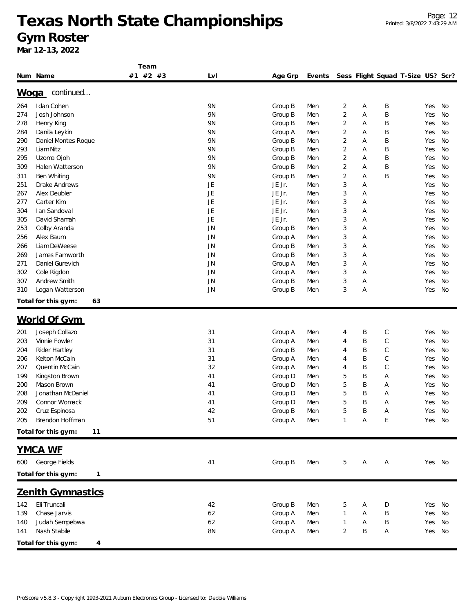|     |                           | Team     |                |         |        |              |   |   |                                   |        |    |
|-----|---------------------------|----------|----------------|---------|--------|--------------|---|---|-----------------------------------|--------|----|
|     | Num Name                  | #1 #2 #3 | Lvl            | Age Grp | Events |              |   |   | Sess Flight Squad T-Size US? Scr? |        |    |
|     |                           |          |                |         |        |              |   |   |                                   |        |    |
|     | continued<br><u>Woqa</u>  |          |                |         |        |              |   |   |                                   |        |    |
| 264 | Idan Cohen                |          | <b>9N</b>      | Group B | Men    | 2            | Α | Β |                                   | Yes    | No |
| 274 | Josh Johnson              |          | 9N             | Group B | Men    | 2            | Α | Β |                                   | Yes    | No |
| 278 | Henry King                |          | <b>9N</b>      | Group B | Men    | 2            | Α | B |                                   | Yes    | No |
| 284 | Danila Leykin             |          | 9N             | Group A | Men    | 2            | Α | Β |                                   | Yes    | No |
| 290 | Daniel Montes Roque       |          | <b>9N</b>      | Group B | Men    | 2            | Α | Β |                                   | Yes    | No |
| 293 | Liam Nitz                 |          | <b>9N</b>      | Group B | Men    | 2            | Α | Β |                                   | Yes    | No |
| 295 | Uzoma Ojoh                |          | 9 <sub>N</sub> | Group B | Men    | 2            | Α | Β |                                   | Yes    | No |
| 309 | Halen Watterson           |          | <b>9N</b>      | Group B | Men    | 2            | Α | B |                                   | Yes    | No |
| 311 | Ben Whiting               |          | 9N             | Group B | Men    | 2            | Α | B |                                   | Yes    | No |
| 251 | Drake Andrews             |          | JE             | JE Jr.  | Men    | 3            | Α |   |                                   | Yes    | No |
| 267 | Alex Deubler              |          | <b>JE</b>      | JE Jr.  | Men    | 3            | Α |   |                                   | Yes    | No |
| 277 | Carter Kim                |          | <b>JE</b>      | JE Jr.  | Men    | 3            | Α |   |                                   | Yes    | No |
| 304 | Ian Sandoval              |          | JE             | JE Jr.  | Men    | 3            | Α |   |                                   | Yes    | No |
| 305 | David Shamah              |          | JE             | JE Jr.  | Men    | 3            | Α |   |                                   | Yes    | No |
| 253 | Colby Aranda              |          | JN             | Group B | Men    | 3            | Α |   |                                   | Yes    | No |
| 256 | Alex Baum                 |          | JN             | Group A | Men    | 3            | Α |   |                                   | Yes    | No |
| 266 | Liam DeWeese              |          | JN             | Group B | Men    | 3            | Α |   |                                   | Yes    | No |
| 269 | James Farnworth           |          | JN             | Group B | Men    | 3            | Α |   |                                   | Yes    | No |
| 271 | Daniel Gurevich           |          | JN             | Group A | Men    | 3            | Α |   |                                   | Yes    | No |
| 302 | Cole Rigdon               |          | JN             | Group A | Men    | 3            | Α |   |                                   | Yes    | No |
| 307 | Andrew Smith              |          | <b>JN</b>      | Group B | Men    | 3            | Α |   |                                   | Yes    | No |
| 310 | Logan Watterson           |          | JN             | Group B | Men    | 3            | Α |   |                                   | Yes    | No |
|     | Total for this gym:<br>63 |          |                |         |        |              |   |   |                                   |        |    |
|     |                           |          |                |         |        |              |   |   |                                   |        |    |
|     | World Of Gym              |          |                |         |        |              |   |   |                                   |        |    |
| 201 | Joseph Collazo            |          | 31             | Group A | Men    | 4            | Β | С |                                   | Yes    | No |
| 203 | Vinnie Fowler             |          | 31             | Group A | Men    | 4            | B | С |                                   | Yes    | No |
| 204 | Rider Hartley             |          | 31             | Group B | Men    | 4            | B | С |                                   | Yes    | No |
| 206 | Kelton McCain             |          | 31             | Group A | Men    | 4            | B | С |                                   | Yes    | No |
| 207 | Quentin McCain            |          | 32             | Group A | Men    | 4            | B | C |                                   | Yes    | No |
| 199 | Kingston Brown            |          | 41             | Group D | Men    | 5            | B | Α |                                   | Yes    | No |
| 200 | Mason Brown               |          | 41             | Group D | Men    | 5            | Β | Α |                                   | Yes    | No |
| 208 | Jonathan McDaniel         |          | 41             | Group D | Men    | 5            | B | Α |                                   | Yes    | No |
| 209 | Connor Womack             |          | 41             | Group D | Men    | 5            | B | Α |                                   | Yes    | No |
| 202 | Cruz Espinosa             |          | 42             | Group B | Men    |              | B | Α |                                   | Yes    | No |
| 205 | Brendon Hoffman           |          | 51             | Group A | Men    | $\mathbf{1}$ | Α | Ε |                                   | Yes No |    |
|     | Total for this gym:<br>11 |          |                |         |        |              |   |   |                                   |        |    |
|     |                           |          |                |         |        |              |   |   |                                   |        |    |
|     | <b>YMCA WE</b>            |          |                |         |        |              |   |   |                                   |        |    |
| 600 | George Fields             |          | 41             | Group B | Men    | 5            | Α | Α |                                   | Yes No |    |
|     | Total for this gym:<br>1  |          |                |         |        |              |   |   |                                   |        |    |
|     | <b>Zenith Gymnastics</b>  |          |                |         |        |              |   |   |                                   |        |    |
|     |                           |          |                |         |        |              |   |   |                                   |        |    |
| 142 | Eli Truncali              |          | 42             | Group B | Men    | 5            | А | D |                                   | Yes No |    |
| 139 | Chase Jarvis              |          | 62             | Group A | Men    | 1            | Α | Β |                                   | Yes    | No |
| 140 | Judah Sempebwa            |          | 62             | Group A | Men    | 1            | Α | Β |                                   | Yes    | No |
| 141 | Nash Stabile              |          | 8N             | Group A | Men    | 2            | Β | Α |                                   | Yes    | No |
|     | Total for this gym:<br>4  |          |                |         |        |              |   |   |                                   |        |    |